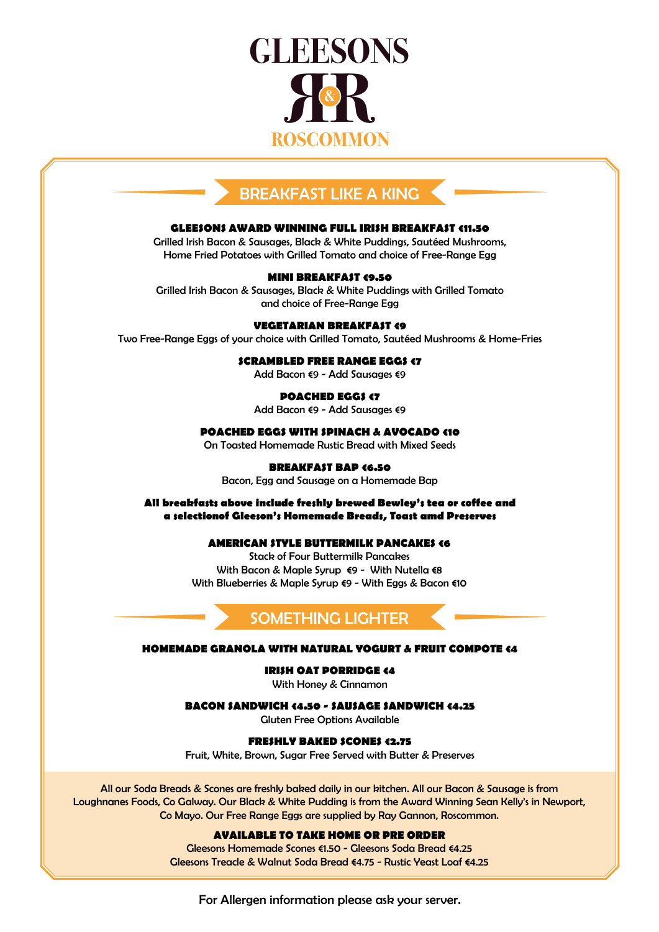

# BREAKFAST LIKE A KING

#### **GLEESONS AWARD WINNING FULL IRISH BREAKFAST €11.50**

Grilled Irish Bacon & Sausages, Black & White Puddings, Sautéed Mushrooms, Home Fried Potatoes with Grilled Tomato and choice of Free-Range Egg

# **MINI BREAKFAST €9.50**

Grilled Irish Bacon & Sausages, Black & White Puddings with Grilled Tomato and choice of Free-Range Egg

# **VEGETARIAN BREAKFAST €9**

Two Free-Range Eggs of your choice with Grilled Tomato, Sautéed Mushrooms & Home-Fries

#### **SCRAMBLED FREE RANGE EGGS <7**

Add Bacon €9 - Add Sausages €9

# **POACHED EGGS €7**

Add Bacon €9 - Add Sausages €9

# **POACHED EGGS WITH SPINACH & AVOCADO €10**

On Toasted Homemade Rustic Bread with Mixed Seeds

# **BREAKFAST BAP €6.50**

Bacon, Egg and Sausage on a Homemade Bap

# **All breakfasts above include freshly brewed Bewley's tea or coffee and a selectionof Gleeson's Homemade Breads, Toast amd Preserves**

# **AMERICAN STYLE BUTTERMILK PANCAKES €6**

Stack of Four Buttermilk Pancakes With Bacon & Maple Syrup €9 - With Nutella €8 With Blueberries & Maple Syrup €9 - With Eggs & Bacon €10

# SOMETHING LIGHTER

#### **HOMEMADE GRANOLA WITH NATURAL YOGURT & FRUIT COMPOTE €4**

#### **IRISH OAT PORRIDGE €4**

With Honey & Cinnamon

**BACON SANDWICH €4.50 - SAUSAGE SANDWICH €4.25**

Gluten Free Options Available

#### **FRESHLY BAKED SCONES €2.75**

Fruit, White, Brown, Sugar Free Served with Butter & Preserves

All our Soda Breads & Scones are freshly baked daily in our kitchen. All our Bacon & Sausage is from Loughnanes Foods, Co Galway. Our Black & White Pudding is from the Award Winning Sean Kelly's in Newport, Co Mayo. Our Free Range Eggs are supplied by Ray Gannon, Roscommon.

#### **AVAILABLE TO TAKE HOME OR PRE ORDER**

Gleesons Homemade Scones €1.50 - Gleesons Soda Bread €4.25 Gleesons Treacle & Walnut Soda Bread €4.75 - Rustic Yeast Loaf €4.25

For Allergen information please ask your server.